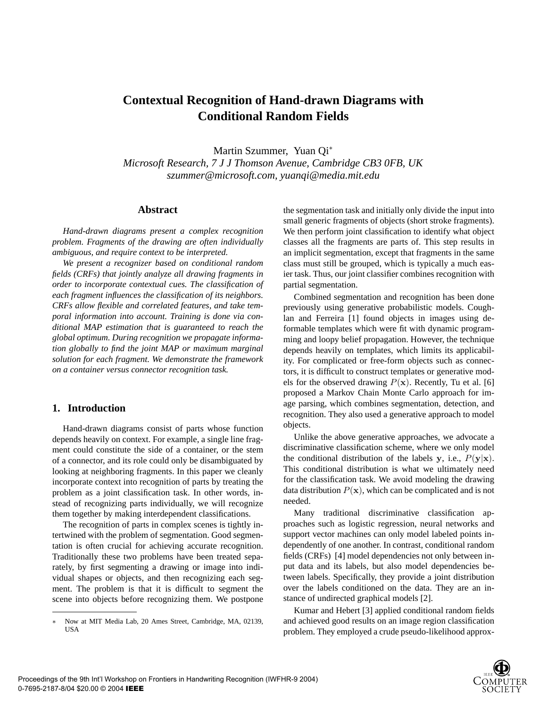# **Contextual Recognition of Hand-drawn Diagrams with Conditional Random Fields**

Martin Szummer, Yuan Qi<sup>∗</sup>

*Microsoft Research, 7 J J Thomson Avenue, Cambridge CB3 0FB, UK szummer@microsoft.com, yuanqi@media.mit.edu*

#### **Abstract**

*Hand-drawn diagrams present a complex recognition problem. Fragments of the drawing are often individually ambiguous, and require context to be interpreted.*

*We present a recognizer based on conditional random fields (CRFs) that jointly analyze all drawing fragments in order to incorporate contextual cues. The classification of each fragment influences the classification of its neighbors. CRFs allow flexible and correlated features, and take temporal information into account. Training is done via conditional MAP estimation that is guaranteed to reach the global optimum. During recognition we propagate information globally to find the joint MAP or maximum marginal solution for each fragment. We demonstrate the framework on a container versus connector recognition task.*

## **1. Introduction**

Hand-drawn diagrams consist of parts whose function depends heavily on context. For example, a single line fragment could constitute the side of a container, or the stem of a connector, and its role could only be disambiguated by looking at neighboring fragments. In this paper we cleanly incorporate context into recognition of parts by treating the problem as a joint classification task. In other words, instead of recognizing parts individually, we will recognize them together by making interdependent classifications.

The recognition of parts in complex scenes is tightly intertwined with the problem of segmentation. Good segmentation is often crucial for achieving accurate recognition. Traditionally these two problems have been treated separately, by first segmenting a drawing or image into individual shapes or objects, and then recognizing each segment. The problem is that it is difficult to segment the scene into objects before recognizing them. We postpone the segmentation task and initially only divide the input into small generic fragments of objects (short stroke fragments). We then perform joint classification to identify what object classes all the fragments are parts of. This step results in an implicit segmentation, except that fragments in the same class must still be grouped, which is typically a much easier task. Thus, our joint classifier combines recognition with partial segmentation.

Combined segmentation and recognition has been done previously using generative probabilistic models. Coughlan and Ferreira [1] found objects in images using deformable templates which were fit with dynamic programming and loopy belief propagation. However, the technique depends heavily on templates, which limits its applicability. For complicated or free-form objects such as connectors, it is difficult to construct templates or generative models for the observed drawing  $P(x)$ . Recently, Tu et al. [6] proposed a Markov Chain Monte Carlo approach for image parsing, which combines segmentation, detection, and recognition. They also used a generative approach to model objects.

Unlike the above generative approaches, we advocate a discriminative classification scheme, where we only model the conditional distribution of the labels y, i.e.,  $P(y|x)$ . This conditional distribution is what we ultimately need for the classification task. We avoid modeling the drawing data distribution  $P(x)$ , which can be complicated and is not needed.

Many traditional discriminative classification approaches such as logistic regression, neural networks and support vector machines can only model labeled points independently of one another. In contrast, conditional random fields (CRFs) [4] model dependencies not only between input data and its labels, but also model dependencies between labels. Specifically, they provide a joint distribution over the labels conditioned on the data. They are an instance of undirected graphical models [2].

Kumar and Hebert [3] applied conditional random fields and achieved good results on an image region classification problem. They employed a crude pseudo-likelihood approx-

<sup>∗</sup> Now at MIT Media Lab, 20 Ames Street, Cambridge, MA, 02139, USA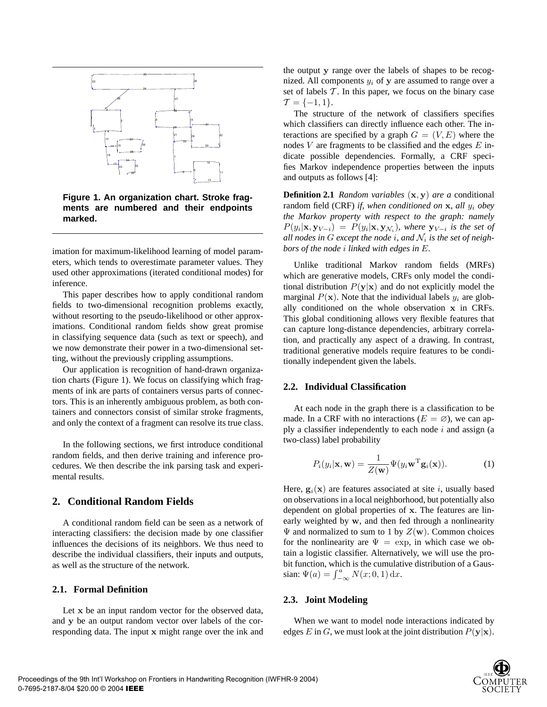

**Figure 1. An organization chart. Stroke fragments are numbered and their endpoints marked.**

imation for maximum-likelihood learning of model parameters, which tends to overestimate parameter values. They used other approximations (iterated conditional modes) for inference.

This paper describes how to apply conditional random fields to two-dimensional recognition problems exactly, without resorting to the pseudo-likelihood or other approximations. Conditional random fields show great promise in classifying sequence data (such as text or speech), and we now demonstrate their power in a two-dimensional setting, without the previously crippling assumptions.

Our application is recognition of hand-drawn organization charts (Figure 1). We focus on classifying which fragments of ink are parts of containers versus parts of connectors. This is an inherently ambiguous problem, as both containers and connectors consist of similar stroke fragments, and only the context of a fragment can resolve its true class.

In the following sections, we first introduce conditional random fields, and then derive training and inference procedures. We then describe the ink parsing task and experimental results.

# **2. Conditional Random Fields**

A conditional random field can be seen as a network of interacting classifiers: the decision made by one classifier influences the decisions of its neighbors. We thus need to describe the individual classifiers, their inputs and outputs, as well as the structure of the network.

## **2.1. Formal Definition**

Let x be an input random vector for the observed data, and y be an output random vector over labels of the corresponding data. The input x might range over the ink and the output y range over the labels of shapes to be recognized. All components  $y_i$  of y are assumed to range over a set of labels  $T$ . In this paper, we focus on the binary case  $\mathcal{T} = \{-1, 1\}.$ 

The structure of the network of classifiers specifies which classifiers can directly influence each other. The interactions are specified by a graph  $G = (V, E)$  where the nodes  $V$  are fragments to be classified and the edges  $E$  indicate possible dependencies. Formally, a CRF specifies Markov independence properties between the inputs and outputs as follows [4]:

**Definition 2.1** *Random variables* (x, y) *are a* conditional random field (CRF) *if, when conditioned on* x*, all* y<sup>i</sup> *obey the Markov property with respect to the graph: namely*  $P(y_i|\mathbf{x}, \mathbf{y}_{V-i}) = P(y_i|\mathbf{x}, \mathbf{y}_{N_i})$ , where  $\mathbf{y}_{V-i}$  *is the set of* all nodes in G except the node *i*, and  $\mathcal{N}_i$  is the set of neigh*bors of the node* i *linked with edges in* E*.*

Unlike traditional Markov random fields (MRFs) which are generative models, CRFs only model the conditional distribution  $P(y|x)$  and do not explicitly model the marginal  $P(x)$ . Note that the individual labels  $y_i$  are globally conditioned on the whole observation x in CRFs. This global conditioning allows very flexible features that can capture long-distance dependencies, arbitrary correlation, and practically any aspect of a drawing. In contrast, traditional generative models require features to be conditionally independent given the labels.

#### **2.2. Individual Classification**

At each node in the graph there is a classification to be made. In a CRF with no interactions ( $E = \emptyset$ ), we can apply a classifier independently to each node  $i$  and assign (a two-class) label probability

$$
P_i(y_i|\mathbf{x}, \mathbf{w}) = \frac{1}{Z(\mathbf{w})} \Psi(y_i \mathbf{w}^{\mathrm{T}} \mathbf{g}_i(\mathbf{x})).
$$
 (1)

Here,  $g_i(x)$  are features associated at site i, usually based on observations in a local neighborhood, but potentially also dependent on global properties of x. The features are linearly weighted by w, and then fed through a nonlinearity  $\Psi$  and normalized to sum to 1 by  $Z(\mathbf{w})$ . Common choices for the nonlinearity are  $\Psi = \exp$ , in which case we obtain a logistic classifier. Alternatively, we will use the probit function, which is the cumulative distribution of a Gaussian:  $\Psi(a) = \int_{-\infty}^{a} N(x; 0, 1) dx$ .

#### **2.3. Joint Modeling**

When we want to model node interactions indicated by edges E in G, we must look at the joint distribution  $P(y|x)$ .

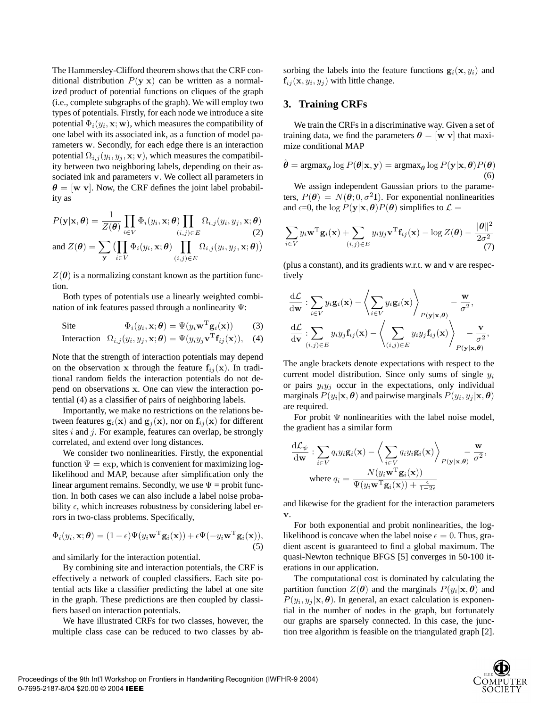The Hammersley-Clifford theorem shows that the CRF conditional distribution  $P(y|x)$  can be written as a normalized product of potential functions on cliques of the graph (i.e., complete subgraphs of the graph). We will employ two types of potentials. Firstly, for each node we introduce a site potential  $\Phi_i(y_i, \mathbf{x}; \mathbf{w})$ , which measures the compatibility of one label with its associated ink, as a function of model parameters w. Secondly, for each edge there is an interaction potential  $\Omega_{i,j}(y_i, y_j, \mathbf{x}; \mathbf{v})$ , which measures the compatibility between two neighboring labels, depending on their associated ink and parameters v. We collect all parameters in  $\theta = [\text{w} \text{v}]$ . Now, the CRF defines the joint label probability as

$$
P(\mathbf{y}|\mathbf{x}, \boldsymbol{\theta}) = \frac{1}{Z(\boldsymbol{\theta})} \prod_{i \in V} \Phi_i(y_i, \mathbf{x}; \boldsymbol{\theta}) \prod_{(i,j) \in E} \Omega_{i,j}(y_i, y_j, \mathbf{x}; \boldsymbol{\theta})
$$
  
and 
$$
Z(\boldsymbol{\theta}) = \sum_{\mathbf{y}} \left( \prod_{i \in V} \Phi_i(y_i, \mathbf{x}; \boldsymbol{\theta}) \prod_{(i,j) \in E} \Omega_{i,j}(y_i, y_j, \mathbf{x}; \boldsymbol{\theta}) \right)
$$

 $Z(\theta)$  is a normalizing constant known as the partition function.

Both types of potentials use a linearly weighted combination of ink features passed through a nonlinearity Ψ:

$$
\text{Site} \qquad \qquad \Phi_i(y_i, \mathbf{x}; \boldsymbol{\theta}) = \Psi(y_i \mathbf{w}^{\mathrm{T}} \mathbf{g}_i(\mathbf{x})) \qquad (3)
$$

$$
\text{Interaction} \quad \Omega_{i,j}(y_i, y_j, \mathbf{x}; \boldsymbol{\theta}) = \Psi(y_i y_j \mathbf{v}^{\mathrm{T}} \mathbf{f}_{ij}(\mathbf{x})), \quad (4)
$$

Note that the strength of interaction potentials may depend on the observation x through the feature  $f_{ij}(x)$ . In traditional random fields the interaction potentials do not depend on observations x. One can view the interaction potential (4) as a classifier of pairs of neighboring labels.

Importantly, we make no restrictions on the relations between features  $\mathbf{g}_i(\mathbf{x})$  and  $\mathbf{g}_j(\mathbf{x})$ , nor on  $\mathbf{f}_{ij}(\mathbf{x})$  for different sites  $i$  and  $j$ . For example, features can overlap, be strongly correlated, and extend over long distances.

We consider two nonlinearities. Firstly, the exponential function  $\Psi = \exp$ , which is convenient for maximizing loglikelihood and MAP, because after simplification only the linear argument remains. Secondly, we use  $\Psi$  = probit function. In both cases we can also include a label noise probability  $\epsilon$ , which increases robustness by considering label errors in two-class problems. Specifically,

$$
\Phi_i(y_i, \mathbf{x}; \boldsymbol{\theta}) = (1 - \epsilon) \Psi(y_i \mathbf{w}^{\mathrm{T}} \mathbf{g}_i(\mathbf{x})) + \epsilon \Psi(-y_i \mathbf{w}^{\mathrm{T}} \mathbf{g}_i(\mathbf{x})),
$$
\n(5)

and similarly for the interaction potential.

By combining site and interaction potentials, the CRF is effectively a network of coupled classifiers. Each site potential acts like a classifier predicting the label at one site in the graph. These predictions are then coupled by classifiers based on interaction potentials.

We have illustrated CRFs for two classes, however, the multiple class case can be reduced to two classes by ab-

sorbing the labels into the feature functions  $g_i(x, y_i)$  and  $f_{ij}$ (**x**,  $y_i$ ,  $y_j$ ) with little change.

## **3. Training CRFs**

We train the CRFs in a discriminative way. Given a set of training data, we find the parameters  $\boldsymbol{\theta} = [\mathbf{w} \; \mathbf{v}]$  that maximize conditional MAP

$$
\hat{\boldsymbol{\theta}} = \operatorname{argmax}_{\boldsymbol{\theta}} \log P(\boldsymbol{\theta} | \mathbf{x}, \mathbf{y}) = \operatorname{argmax}_{\boldsymbol{\theta}} \log P(\mathbf{y} | \mathbf{x}, \boldsymbol{\theta}) P(\boldsymbol{\theta})
$$
(6)

We assign independent Gaussian priors to the parameters,  $P(\theta) = N(\theta; 0, \sigma^2 I)$ . For exponential nonlinearities and  $\epsilon = 0$ , the log  $P(\mathbf{y}|\mathbf{x}, \theta)P(\theta)$  simplifies to  $\mathcal{L} =$ 

$$
\sum_{i \in V} y_i \mathbf{w}^{\mathrm{T}} \mathbf{g}_i(\mathbf{x}) + \sum_{(i,j) \in E} y_i y_j \mathbf{v}^{\mathrm{T}} \mathbf{f}_{ij}(\mathbf{x}) - \log Z(\boldsymbol{\theta}) - \frac{\|\boldsymbol{\theta}\|^2}{2\sigma^2}
$$
(7)

(plus a constant), and its gradients w.r.t. w and v are respectively

$$
\frac{d\mathcal{L}}{d\mathbf{w}} : \sum_{i \in V} y_i \mathbf{g}_i(\mathbf{x}) - \left\langle \sum_{i \in V} y_i \mathbf{g}_i(\mathbf{x}) \right\rangle_{P(\mathbf{y}|\mathbf{x}, \boldsymbol{\theta})} - \frac{\mathbf{w}}{\sigma^2},
$$

$$
\frac{d\mathcal{L}}{d\mathbf{v}} : \sum_{(i,j) \in E} y_i y_j \mathbf{f}_{ij}(\mathbf{x}) - \left\langle \sum_{(i,j) \in E} y_i y_j \mathbf{f}_{ij}(\mathbf{x}) \right\rangle_{P(\mathbf{y}|\mathbf{x}, \boldsymbol{\theta})} - \frac{\mathbf{v}}{\sigma^2},
$$

The angle brackets denote expectations with respect to the current model distribution. Since only sums of single  $y_i$ or pairs  $y_i y_j$  occur in the expectations, only individual marginals  $P(y_i|\mathbf{x}, \boldsymbol{\theta})$  and pairwise marginals  $P(y_i, y_j|\mathbf{x}, \boldsymbol{\theta})$ are required.

For probit  $\Psi$  nonlinearities with the label noise model, the gradient has a similar form

$$
\frac{\mathrm{d}\mathcal{L}_{\psi}}{\mathrm{d}\mathbf{w}} : \sum_{i \in V} q_i y_i \mathbf{g}_i(\mathbf{x}) - \left\langle \sum_{i \in V} q_i y_i \mathbf{g}_i(\mathbf{x}) \right\rangle_{P(\mathbf{y}|\mathbf{x},\boldsymbol{\theta})} - \frac{\mathbf{w}}{\sigma^2},
$$
\nwhere  $q_i = \frac{N(y_i \mathbf{w}^{\mathrm{T}} \mathbf{g}_i(\mathbf{x}))}{\Psi(y_i \mathbf{w}^{\mathrm{T}} \mathbf{g}_i(\mathbf{x})) + \frac{\epsilon}{1 - 2\epsilon}}$ 

and likewise for the gradient for the interaction parameters v.

For both exponential and probit nonlinearities, the loglikelihood is concave when the label noise  $\epsilon = 0$ . Thus, gradient ascent is guaranteed to find a global maximum. The quasi-Newton technique BFGS [5] converges in 50-100 iterations in our application.

The computational cost is dominated by calculating the partition function  $Z(\boldsymbol{\theta})$  and the marginals  $P(y_i|\mathbf{x}, \boldsymbol{\theta})$  and  $P(y_i, y_i | \mathbf{x}, \boldsymbol{\theta})$ . In general, an exact calculation is exponential in the number of nodes in the graph, but fortunately our graphs are sparsely connected. In this case, the junction tree algorithm is feasible on the triangulated graph [2].

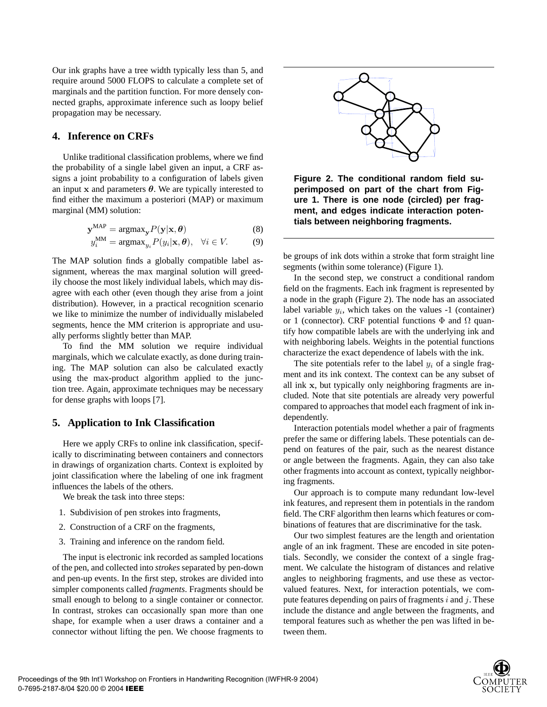Our ink graphs have a tree width typically less than 5, and require around 5000 FLOPS to calculate a complete set of marginals and the partition function. For more densely connected graphs, approximate inference such as loopy belief propagation may be necessary.

#### **4. Inference on CRFs**

Unlike traditional classification problems, where we find the probability of a single label given an input, a CRF assigns a joint probability to a configuration of labels given an input x and parameters  $\theta$ . We are typically interested to find either the maximum a posteriori (MAP) or maximum marginal (MM) solution:

$$
\mathbf{y}^{\text{MAP}} = \text{argmax}_{\mathbf{y}} P(\mathbf{y}|\mathbf{x}, \boldsymbol{\theta}) \tag{8}
$$

$$
y_i^{\text{MM}} = \text{argmax}_{y_i} P(y_i | \mathbf{x}, \boldsymbol{\theta}), \quad \forall i \in V. \tag{9}
$$

The MAP solution finds a globally compatible label assignment, whereas the max marginal solution will greedily choose the most likely individual labels, which may disagree with each other (even though they arise from a joint distribution). However, in a practical recognition scenario we like to minimize the number of individually mislabeled segments, hence the MM criterion is appropriate and usually performs slightly better than MAP.

To find the MM solution we require individual marginals, which we calculate exactly, as done during training. The MAP solution can also be calculated exactly using the max-product algorithm applied to the junction tree. Again, approximate techniques may be necessary for dense graphs with loops [7].

#### **5. Application to Ink Classification**

Here we apply CRFs to online ink classification, specifically to discriminating between containers and connectors in drawings of organization charts. Context is exploited by joint classification where the labeling of one ink fragment influences the labels of the others.

We break the task into three steps:

- 1. Subdivision of pen strokes into fragments,
- 2. Construction of a CRF on the fragments,
- 3. Training and inference on the random field.

The input is electronic ink recorded as sampled locations of the pen, and collected into *strokes* separated by pen-down and pen-up events. In the first step, strokes are divided into simpler components called *fragments*. Fragments should be small enough to belong to a single container or connector. In contrast, strokes can occasionally span more than one shape, for example when a user draws a container and a connector without lifting the pen. We choose fragments to



**Figure 2. The conditional random field superimposed on part of the chart from Figure 1. There is one node (circled) per fragment, and edges indicate interaction potentials between neighboring fragments.**

be groups of ink dots within a stroke that form straight line segments (within some tolerance) (Figure 1).

In the second step, we construct a conditional random field on the fragments. Each ink fragment is represented by a node in the graph (Figure 2). The node has an associated label variable  $y_i$ , which takes on the values -1 (container) or 1 (connector). CRF potential functions  $\Phi$  and  $\Omega$  quantify how compatible labels are with the underlying ink and with neighboring labels. Weights in the potential functions characterize the exact dependence of labels with the ink.

The site potentials refer to the label  $y_i$  of a single fragment and its ink context. The context can be any subset of all ink x, but typically only neighboring fragments are included. Note that site potentials are already very powerful compared to approaches that model each fragment of ink independently.

Interaction potentials model whether a pair of fragments prefer the same or differing labels. These potentials can depend on features of the pair, such as the nearest distance or angle between the fragments. Again, they can also take other fragments into account as context, typically neighboring fragments.

Our approach is to compute many redundant low-level ink features, and represent them in potentials in the random field. The CRF algorithm then learns which features or combinations of features that are discriminative for the task.

Our two simplest features are the length and orientation angle of an ink fragment. These are encoded in site potentials. Secondly, we consider the context of a single fragment. We calculate the histogram of distances and relative angles to neighboring fragments, and use these as vectorvalued features. Next, for interaction potentials, we compute features depending on pairs of fragments  $i$  and  $j$ . These include the distance and angle between the fragments, and temporal features such as whether the pen was lifted in between them.

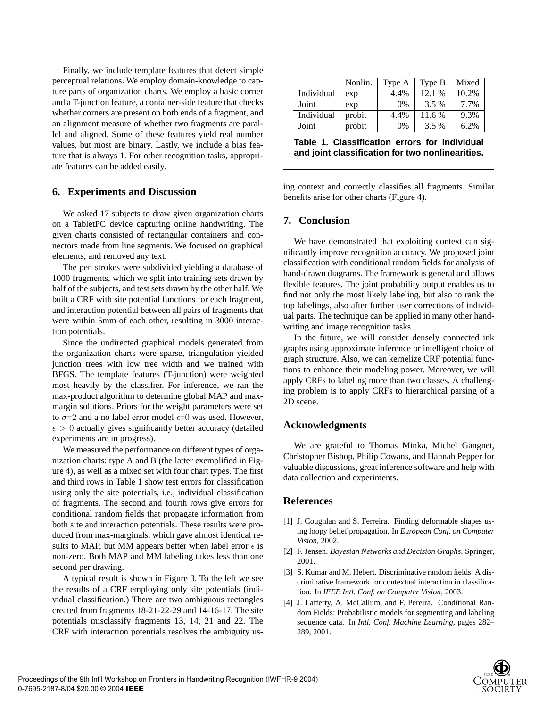Finally, we include template features that detect simple perceptual relations. We employ domain-knowledge to capture parts of organization charts. We employ a basic corner and a T-junction feature, a container-side feature that checks whether corners are present on both ends of a fragment, and an alignment measure of whether two fragments are parallel and aligned. Some of these features yield real number values, but most are binary. Lastly, we include a bias feature that is always 1. For other recognition tasks, appropriate features can be added easily.

## **6. Experiments and Discussion**

We asked 17 subjects to draw given organization charts on a TabletPC device capturing online handwriting. The given charts consisted of rectangular containers and connectors made from line segments. We focused on graphical elements, and removed any text.

The pen strokes were subdivided yielding a database of 1000 fragments, which we split into training sets drawn by half of the subjects, and test sets drawn by the other half. We built a CRF with site potential functions for each fragment, and interaction potential between all pairs of fragments that were within 5mm of each other, resulting in 3000 interaction potentials.

Since the undirected graphical models generated from the organization charts were sparse, triangulation yielded junction trees with low tree width and we trained with BFGS. The template features (T-junction) were weighted most heavily by the classifier. For inference, we ran the max-product algorithm to determine global MAP and maxmargin solutions. Priors for the weight parameters were set to  $\sigma$ =2 and a no label error model  $\epsilon$ =0 was used. However,  $\epsilon > 0$  actually gives significantly better accuracy (detailed experiments are in progress).

We measured the performance on different types of organization charts: type A and B (the latter exemplified in Figure 4), as well as a mixed set with four chart types. The first and third rows in Table 1 show test errors for classification using only the site potentials, i.e., individual classification of fragments. The second and fourth rows give errors for conditional random fields that propagate information from both site and interaction potentials. These results were produced from max-marginals, which gave almost identical results to MAP, but MM appears better when label error  $\epsilon$  is non-zero. Both MAP and MM labeling takes less than one second per drawing.

A typical result is shown in Figure 3. To the left we see the results of a CRF employing only site potentials (individual classification.) There are two ambiguous rectangles created from fragments 18-21-22-29 and 14-16-17. The site potentials misclassify fragments 13, 14, 21 and 22. The CRF with interaction potentials resolves the ambiguity us-

|            | Nonlin. | Type A | Type B  | Mixed |
|------------|---------|--------|---------|-------|
| Individual | exp     | 4.4%   | 12.1 %  | 10.2% |
| Joint      | exp     | 0%     | $3.5\%$ | 7.7%  |
| Individual | probit  | 4.4%   | 11.6 %  | 9.3%  |
| Joint      | probit  | 0%     | 3.5 %   | 6.2%  |

**Table 1. Classification errors for individual and joint classification for two nonlinearities.**

ing context and correctly classifies all fragments. Similar benefits arise for other charts (Figure 4).

# **7. Conclusion**

We have demonstrated that exploiting context can significantly improve recognition accuracy. We proposed joint classification with conditional random fields for analysis of hand-drawn diagrams. The framework is general and allows flexible features. The joint probability output enables us to find not only the most likely labeling, but also to rank the top labelings, also after further user corrections of individual parts. The technique can be applied in many other handwriting and image recognition tasks.

In the future, we will consider densely connected ink graphs using approximate inference or intelligent choice of graph structure. Also, we can kernelize CRF potential functions to enhance their modeling power. Moreover, we will apply CRFs to labeling more than two classes. A challenging problem is to apply CRFs to hierarchical parsing of a 2D scene.

## **Acknowledgments**

We are grateful to Thomas Minka, Michel Gangnet, Christopher Bishop, Philip Cowans, and Hannah Pepper for valuable discussions, great inference software and help with data collection and experiments.

## **References**

- [1] J. Coughlan and S. Ferreira. Finding deformable shapes using loopy belief propagation. In *European Conf. on Computer Vision*, 2002.
- [2] F. Jensen. *Bayesian Networks and Decision Graphs*. Springer, 2001.
- [3] S. Kumar and M. Hebert. Discriminative random fields: A discriminative framework for contextual interaction in classification. In *IEEE Intl. Conf. on Computer Vision*, 2003.
- [4] J. Lafferty, A. McCallum, and F. Pereira. Conditional Random Fields: Probabilistic models for segmenting and labeling sequence data. In *Intl. Conf. Machine Learning*, pages 282– 289, 2001.